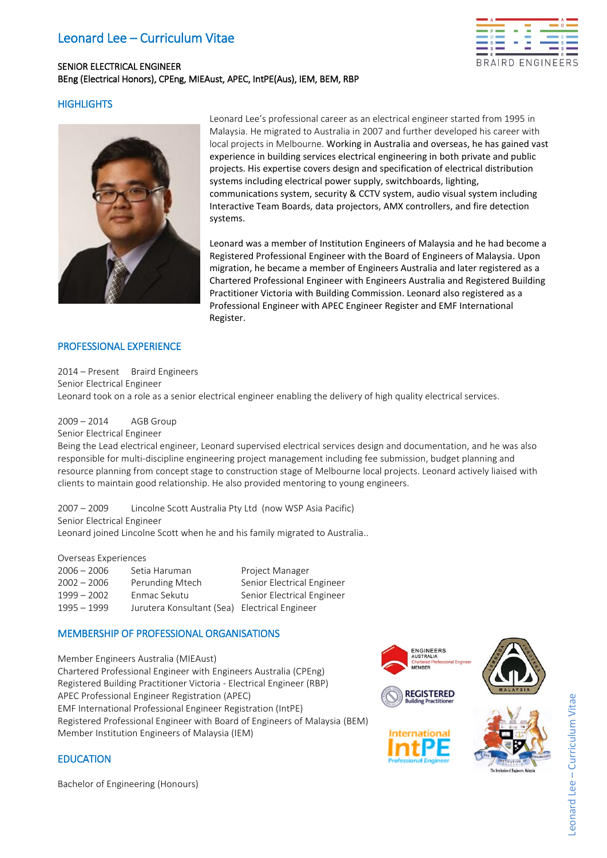# Leonard Lee – Curriculum Vitae

# SENIOR ELECTRICAL ENGINEER BEng (Electrical Honors), CPEng, MIEAust, APEC, IntPE(Aus), IEM, BEM, RBP



## **HIGHLIGHTS**



Leonard Lee's professional career as an electrical engineer started from 1995 in Malaysia. He migrated to Australia in 2007 and further developed his career with local projects in Melbourne. Working in Australia and overseas, he has gained vast experience in building services electrical engineering in both private and public projects. His expertise covers design and specification of electrical distribution systems including electrical power supply, switchboards, lighting, communications system, security & CCTV system, audio visual system including Interactive Team Boards, data projectors, AMX controllers, and fire detection systems.

Leonard was a member of Institution Engineers of Malaysia and he had become a Registered Professional Engineer with the Board of Engineers of Malaysia. Upon migration, he became a member of Engineers Australia and later registered as a Chartered Professional Engineer with Engineers Australia and Registered Building Practitioner Victoria with Building Commission. Leonard also registered as a Professional Engineer with APEC Engineer Register and EMF International Register.

## PROFESSIONAL EXPERIENCE

2014 – Present Braird Engineers Senior Electrical Engineer Leonard took on a role as a senior electrical engineer enabling the delivery of high quality electrical services.

## 2009 – 2014 AGB Group

Senior Electrical Engineer

Being the Lead electrical engineer, Leonard supervised electrical services design and documentation, and he was also responsible for multi-discipline engineering project management including fee submission, budget planning and resource planning from concept stage to construction stage of Melbourne local projects. Leonard actively liaised with clients to maintain good relationship. He also provided mentoring to young engineers.

2007 – 2009 Lincolne Scott Australia Pty Ltd (now WSP Asia Pacific) Senior Electrical Engineer Leonard joined Lincolne Scott when he and his family migrated to Australia..

#### Overseas Experiences

| Setia Haruman                                 | Project Manager            |
|-----------------------------------------------|----------------------------|
| Perunding Mtech                               | Senior Electrical Engineer |
| Enmac Sekutu                                  | Senior Electrical Engineer |
| Jurutera Konsultant (Sea) Electrical Engineer |                            |
|                                               |                            |

## MEMBERSHIP OF PROFESSIONAL ORGANISATIONS

Member Engineers Australia (MIEAust) Chartered Professional Engineer with Engineers Australia (CPEng) Registered Building Practitioner Victoria - Electrical Engineer (RBP) APEC Professional Engineer Registration (APEC) EMF International Professional Engineer Registration (IntPE) Registered Professional Engineer with Board of Engineers of Malaysia (BEM) Member Institution Engineers of Malaysia (IEM)



## **EDUCATION**

Bachelor of Engineering (Honours)